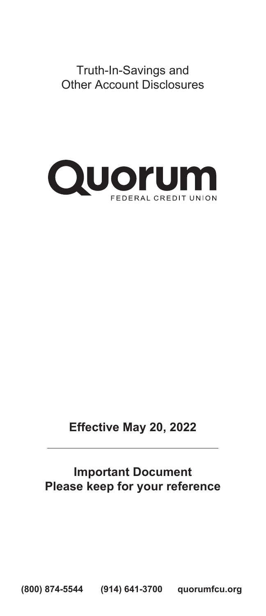Truth-In-Savings and Other Account Disclosures



# **Effective May 20, 2022**

# **Important Document Please keep for your reference**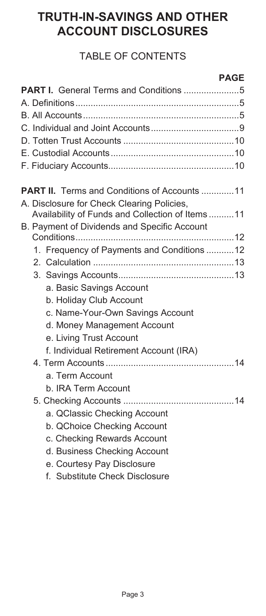# **TRUTH-IN-SAVINGS AND OTHER ACCOUNT DISCLOSURES**

# TABLE OF CONTENTS

|                                                     | <b>PAGE</b> |
|-----------------------------------------------------|-------------|
|                                                     |             |
|                                                     |             |
|                                                     |             |
|                                                     |             |
|                                                     |             |
|                                                     |             |
|                                                     |             |
| <b>PART II.</b> Terms and Conditions of Accounts 11 |             |
| A. Disclosure for Check Clearing Policies,          |             |
| Availability of Funds and Collection of Items  11   |             |
| B. Payment of Dividends and Specific Account        |             |
|                                                     |             |
| 1. Frequency of Payments and Conditions 12          |             |
|                                                     |             |
|                                                     |             |
| a. Basic Savings Account                            |             |
| b. Holiday Club Account                             |             |
| c. Name-Your-Own Savings Account                    |             |
| d. Money Management Account                         |             |
| e. Living Trust Account                             |             |
| f. Individual Retirement Account (IRA)              |             |
|                                                     |             |
| a. Term Account                                     |             |
| b. IRA Term Account                                 |             |
|                                                     |             |
| a. QClassic Checking Account                        |             |
| b. QChoice Checking Account                         |             |
| c. Checking Rewards Account                         |             |
| d. Business Checking Account                        |             |
| e. Courtesy Pay Disclosure                          |             |

f. Substitute Check Disclosure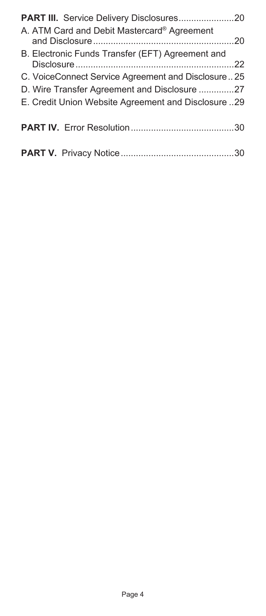| A. ATM Card and Debit Mastercard® Agreement         |  |
|-----------------------------------------------------|--|
| B. Electronic Funds Transfer (EFT) Agreement and    |  |
| C. VoiceConnect Service Agreement and Disclosure25  |  |
| D. Wire Transfer Agreement and Disclosure 27        |  |
| E. Credit Union Website Agreement and Disclosure 29 |  |
|                                                     |  |
|                                                     |  |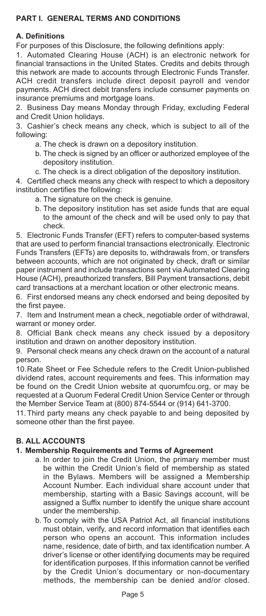# **PART I. GENERAL TERMS AND CONDITIONS**

## **A. Definitions**

For purposes of this Disclosure, the following definitions apply:

1. Automated Clearing House (ACH) is an electronic network for financial transactions in the United States. Credits and debits through this network are made to accounts through Electronic Funds Transfer. ACH credit transfers include direct deposit payroll and vendor payments. ACH direct debit transfers include consumer payments on insurance premiums and mortgage loans.

2. Business Day means Monday through Friday, excluding Federal and Credit Union holidays.

3. Cashier's check means any check, which is subject to all of the following:

- a. The check is drawn on a depository institution.
- b. The check is signed by an officer or authorized employee of the depository institution.
- c. The check is a direct obligation of the depository institution.

4. Certified check means any check with respect to which a depository institution certifies the following:

- a. The signature on the check is genuine.
- b. The depository institution has set aside funds that are equal to the amount of the check and will be used only to pay that check.

5. Electronic Funds Transfer (EFT) refers to computer-based systems that are used to perform financial transactions electronically. Electronic Funds Transfers (EFTs) are deposits to, withdrawals from, or transfers between accounts, which are not originated by check, draft or similar paper instrument and include transactions sent via Automated Clearing House (ACH), preauthorized transfers, Bill Payment transactions, debit card transactions at a merchant location or other electronic means.

6. First endorsed means any check endorsed and being deposited by the first payee.

7. Item and Instrument mean a check, negotiable order of withdrawal, warrant or money order.

8. Official Bank check means any check issued by a depository institution and drawn on another depository institution.

9. Personal check means any check drawn on the account of a natural person.

10. Rate Sheet or Fee Schedule refers to the Credit Union-published dividend rates, account requirements and fees. This information may be found on the Credit Union website at quorumfcu.org, or may be requested at a Quorum Federal Credit Union Service Center or through the Member Service Team at (800) 874-5544 or (914) 641-3700.

11. Third party means any check payable to and being deposited by someone other than the first payee.

# **B. ALL ACCOUNTS**

## **1. Membership Requirements and Terms of Agreement**

- a. In order to join the Credit Union, the primary member must be within the Credit Union's field of membership as stated in the Bylaws. Members will be assigned a Membership Account Number. Each individual share account under that membership, starting with a Basic Savings account, will be assigned a Suffix number to identify the unique share account under the membership.
- b. To comply with the USA Patriot Act, all financial institutions must obtain, verify, and record information that identifies each person who opens an account. This information includes name, residence, date of birth, and tax identification number. A driver's license or other identifying documents may be required for identification purposes. If this information cannot be verified by the Credit Union's documentary or non-documentary methods, the membership can be denied and/or closed.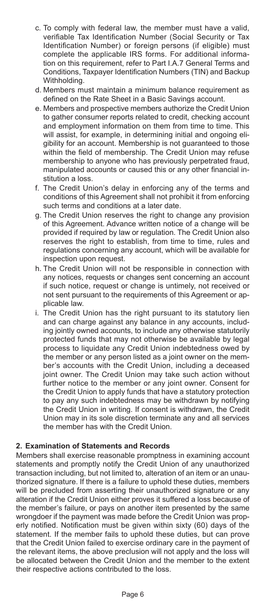- c. To comply with federal law, the member must have a valid, verifiable Tax Identification Number (Social Security or Tax Identification Number) or foreign persons (if eligible) must complete the applicable IRS forms. For additional information on this requirement, refer to Part I.A.7 General Terms and Conditions, Taxpayer Identification Numbers (TIN) and Backup Withholding.
- d. Members must maintain a minimum balance requirement as defined on the Rate Sheet in a Basic Savings account.
- e. Members and prospective members authorize the Credit Union to gather consumer reports related to credit, checking account and employment information on them from time to time. This will assist, for example, in determining initial and ongoing eligibility for an account. Membership is not guaranteed to those within the field of membership. The Credit Union may refuse membership to anyone who has previously perpetrated fraud, manipulated accounts or caused this or any other financial institution a loss.
- f. The Credit Union's delay in enforcing any of the terms and conditions of this Agreement shall not prohibit it from enforcing such terms and conditions at a later date.
- g. The Credit Union reserves the right to change any provision of this Agreement. Advance written notice of a change will be provided if required by law or regulation. The Credit Union also reserves the right to establish, from time to time, rules and regulations concerning any account, which will be available for inspection upon request.
- h. The Credit Union will not be responsible in connection with any notices, requests or changes sent concerning an account if such notice, request or change is untimely, not received or not sent pursuant to the requirements of this Agreement or applicable law.
- i. The Credit Union has the right pursuant to its statutory lien and can charge against any balance in any accounts, including jointly owned accounts, to include any otherwise statutorily protected funds that may not otherwise be available by legal process to liquidate any Credit Union indebtedness owed by the member or any person listed as a joint owner on the member's accounts with the Credit Union, including a deceased joint owner. The Credit Union may take such action without further notice to the member or any joint owner. Consent for the Credit Union to apply funds that have a statutory protection to pay any such indebtedness may be withdrawn by notifying the Credit Union in writing. If consent is withdrawn, the Credit Union may in its sole discretion terminate any and all services the member has with the Credit Union.

## **2. Examination of Statements and Records**

Members shall exercise reasonable promptness in examining account statements and promptly notify the Credit Union of any unauthorized transaction including, but not limited to, alteration of an item or an unauthorized signature. If there is a failure to uphold these duties, members will be precluded from asserting their unauthorized signature or any alteration if the Credit Union either proves it suffered a loss because of the member's failure, or pays on another item presented by the same wrongdoer if the payment was made before the Credit Union was properly notified. Notification must be given within sixty (60) days of the statement. If the member fails to uphold these duties, but can prove that the Credit Union failed to exercise ordinary care in the payment of the relevant items, the above preclusion will not apply and the loss will be allocated between the Credit Union and the member to the extent their respective actions contributed to the loss.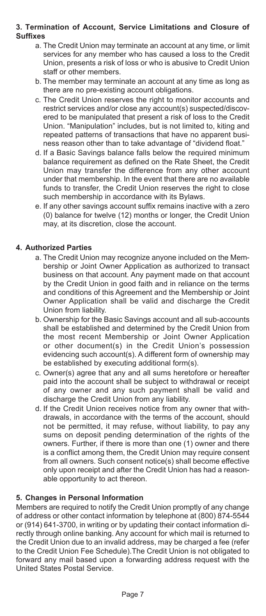#### **3. Termination of Account, Service Limitations and Closure of Suffixes**

- a. The Credit Union may terminate an account at any time, or limit services for any member who has caused a loss to the Credit Union, presents a risk of loss or who is abusive to Credit Union staff or other members.
- b. The member may terminate an account at any time as long as there are no pre-existing account obligations.
- c. The Credit Union reserves the right to monitor accounts and restrict services and/or close any account(s) suspected/discovered to be manipulated that present a risk of loss to the Credit Union. "Manipulation" includes, but is not limited to, kiting and repeated patterns of transactions that have no apparent business reason other than to take advantage of "dividend float."
- d. If a Basic Savings balance falls below the required minimum balance requirement as defined on the Rate Sheet, the Credit Union may transfer the difference from any other account under that membership. In the event that there are no available funds to transfer, the Credit Union reserves the right to close such membership in accordance with its Bylaws.
- e. If any other savings account suffix remains inactive with a zero (0) balance for twelve (12) months or longer, the Credit Union may, at its discretion, close the account.

## **4. Authorized Parties**

- a. The Credit Union may recognize anyone included on the Membership or Joint Owner Application as authorized to transact business on that account. Any payment made on that account by the Credit Union in good faith and in reliance on the terms and conditions of this Agreement and the Membership or Joint Owner Application shall be valid and discharge the Credit Union from liability.
- b. Ownership for the Basic Savings account and all sub-accounts shall be established and determined by the Credit Union from the most recent Membership or Joint Owner Application or other document(s) in the Credit Union's possession evidencing such account(s). A different form of ownership may be established by executing additional form(s).
- c. Owner(s) agree that any and all sums heretofore or hereafter paid into the account shall be subject to withdrawal or receipt of any owner and any such payment shall be valid and discharge the Credit Union from any liability.
- d. If the Credit Union receives notice from any owner that withdrawals, in accordance with the terms of the account, should not be permitted, it may refuse, without liability, to pay any sums on deposit pending determination of the rights of the owners. Further, if there is more than one (1) owner and there is a conflict among them, the Credit Union may require consent from all owners. Such consent notice(s) shall become effective only upon receipt and after the Credit Union has had a reasonable opportunity to act thereon.

## **5. Changes in Personal Information**

Members are required to notify the Credit Union promptly of any change of address or other contact information by telephone at (800) 874-5544 or (914) 641-3700, in writing or by updating their contact information directly through online banking. Any account for which mail is returned to the Credit Union due to an invalid address, may be charged a fee (refer to the Credit Union Fee Schedule).The Credit Union is not obligated to forward any mail based upon a forwarding address request with the United States Postal Service.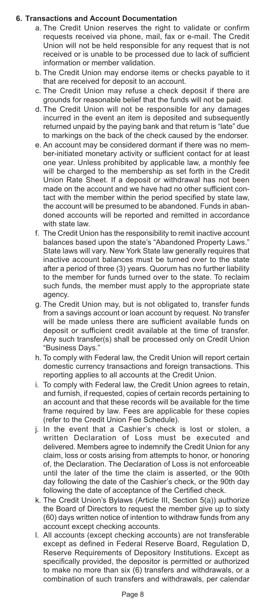#### **6. Transactions and Account Documentation**

- a. The Credit Union reserves the right to validate or confirm requests received via phone, mail, fax or e-mail. The Credit Union will not be held responsible for any request that is not received or is unable to be processed due to lack of sufficient information or member validation.
- b. The Credit Union may endorse items or checks payable to it that are received for deposit to an account.
- c. The Credit Union may refuse a check deposit if there are grounds for reasonable belief that the funds will not be paid.
- d. The Credit Union will not be responsible for any damages incurred in the event an item is deposited and subsequently returned unpaid by the paying bank and that return is "late" due to markings on the back of the check caused by the endorser.
- e. An account may be considered dormant if there was no member-initiated monetary activity or sufficient contact for at least one year. Unless prohibited by applicable law, a monthly fee will be charged to the membership as set forth in the Credit Union Rate Sheet. If a deposit or withdrawal has not been made on the account and we have had no other sufficient contact with the member within the period specified by state law, the account will be presumed to be abandoned. Funds in abandoned accounts will be reported and remitted in accordance with state law.
- f. The Credit Union has the responsibility to remit inactive account balances based upon the state's "Abandoned Property Laws." State laws will vary. New York State law generally requires that inactive account balances must be turned over to the state after a period of three (3) years. Quorum has no further liability to the member for funds turned over to the state. To reclaim such funds, the member must apply to the appropriate state agency.
- g. The Credit Union may, but is not obligated to, transfer funds from a savings account or loan account by request. No transfer will be made unless there are sufficient available funds on deposit or sufficient credit available at the time of transfer. Any such transfer(s) shall be processed only on Credit Union "Business Days."
- h. To comply with Federal law, the Credit Union will report certain domestic currency transactions and foreign transactions. This reporting applies to all accounts at the Credit Union.
- i. To comply with Federal law, the Credit Union agrees to retain, and furnish, if requested, copies of certain records pertaining to an account and that these records will be available for the time frame required by law. Fees are applicable for these copies (refer to the Credit Union Fee Schedule).
- j. In the event that a Cashier's check is lost or stolen, a written Declaration of Loss must be executed and delivered. Members agree to indemnify the Credit Union for any claim, loss or costs arising from attempts to honor, or honoring of, the Declaration. The Declaration of Loss is not enforceable until the later of the time the claim is asserted, or the 90th day following the date of the Cashier's check, or the 90th day following the date of acceptance of the Certified check.
- k. The Credit Union's Bylaws (Article III, Section 5(a)) authorize the Board of Directors to request the member give up to sixty (60) days written notice of intention to withdraw funds from any account except checking accounts.
- l. All accounts (except checking accounts) are not transferable except as defined in Federal Reserve Board, Regulation D, Reserve Requirements of Depository Institutions. Except as specifically provided, the depositor is permitted or authorized to make no more than six (6) transfers and withdrawals, or a combination of such transfers and withdrawals, per calendar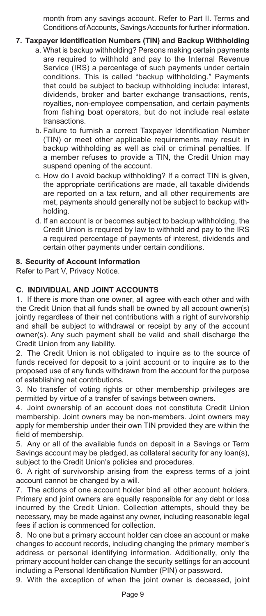month from any savings account. Refer to Part II. Terms and Conditions of Accounts, Savings Accounts for further information.

## **7. Taxpayer Identification Numbers (TIN) and Backup Withholding**

- a. What is backup withholding? Persons making certain payments are required to withhold and pay to the Internal Revenue Service (IRS) a percentage of such payments under certain conditions. This is called "backup withholding." Payments that could be subject to backup withholding include: interest, dividends, broker and barter exchange transactions, rents, royalties, non-employee compensation, and certain payments from fishing boat operators, but do not include real estate transactions.
- b. Failure to furnish a correct Taxpayer Identification Number (TIN) or meet other applicable requirements may result in backup withholding as well as civil or criminal penalties. If a member refuses to provide a TIN, the Credit Union may suspend opening of the account.
- c. How do I avoid backup withholding? If a correct TIN is given, the appropriate certifications are made, all taxable dividends are reported on a tax return, and all other requirements are met, payments should generally not be subject to backup withholding.
- d. If an account is or becomes subject to backup withholding, the Credit Union is required by law to withhold and pay to the IRS a required percentage of payments of interest, dividends and certain other payments under certain conditions.

## **8. Security of Account Information**

Refer to Part V, Privacy Notice.

## **C. INDIVIDUAL AND JOINT ACCOUNTS**

1. If there is more than one owner, all agree with each other and with the Credit Union that all funds shall be owned by all account owner(s) jointly regardless of their net contributions with a right of survivorship and shall be subject to withdrawal or receipt by any of the account owner(s). Any such payment shall be valid and shall discharge the Credit Union from any liability.

2. The Credit Union is not obligated to inquire as to the source of funds received for deposit to a joint account or to inquire as to the proposed use of any funds withdrawn from the account for the purpose of establishing net contributions.

3. No transfer of voting rights or other membership privileges are permitted by virtue of a transfer of savings between owners.

4. Joint ownership of an account does not constitute Credit Union membership. Joint owners may be non-members. Joint owners may apply for membership under their own TIN provided they are within the field of membership.

5. Any or all of the available funds on deposit in a Savings or Term Savings account may be pledged, as collateral security for any loan(s), subject to the Credit Union's policies and procedures.

6. A right of survivorship arising from the express terms of a joint account cannot be changed by a will.

7. The actions of one account holder bind all other account holders. Primary and joint owners are equally responsible for any debt or loss incurred by the Credit Union. Collection attempts, should they be necessary, may be made against any owner, including reasonable legal fees if action is commenced for collection.

8. No one but a primary account holder can close an account or make changes to account records, including changing the primary member's address or personal identifying information. Additionally, only the primary account holder can change the security settings for an account including a Personal Identification Number (PIN) or password.

9. With the exception of when the joint owner is deceased, joint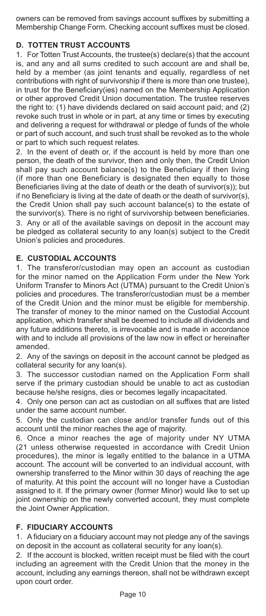owners can be removed from savings account suffixes by submitting a Membership Change Form. Checking account suffixes must be closed.

# **D. TOTTEN TRUST ACCOUNTS**

1. For Totten Trust Accounts, the trustee(s) declare(s) that the account is, and any and all sums credited to such account are and shall be, held by a member (as joint tenants and equally, regardless of net contributions with right of survivorship if there is more than one trustee), in trust for the Beneficiary(ies) named on the Membership Application or other approved Credit Union documentation. The trustee reserves the right to: (1) have dividends declared on said account paid; and (2) revoke such trust in whole or in part, at any time or times by executing and delivering a request for withdrawal or pledge of funds of the whole or part of such account, and such trust shall be revoked as to the whole or part to which such request relates.

2. In the event of death or, if the account is held by more than one person, the death of the survivor, then and only then, the Credit Union shall pay such account balance(s) to the Beneficiary if then living (if more than one Beneficiary is designated then equally to those Beneficiaries living at the date of death or the death of survivor(s)); but if no Beneficiary is living at the date of death or the death of survivor(s), the Credit Union shall pay such account balance(s) to the estate of the survivor(s). There is no right of survivorship between beneficiaries. 3. Any or all of the available savings on deposit in the account may be pledged as collateral security to any loan(s) subject to the Credit Union's policies and procedures.

## **E. CUSTODIAL ACCOUNTS**

1. The transferor/custodian may open an account as custodian for the minor named on the Application Form under the New York Uniform Transfer to Minors Act (UTMA) pursuant to the Credit Union's policies and procedures. The transferor/custodian must be a member of the Credit Union and the minor must be eligible for membership. The transfer of money to the minor named on the Custodial Account application, which transfer shall be deemed to include all dividends and any future additions thereto, is irrevocable and is made in accordance with and to include all provisions of the law now in effect or hereinafter amended.

2. Any of the savings on deposit in the account cannot be pledged as collateral security for any loan(s).

3. The successor custodian named on the Application Form shall serve if the primary custodian should be unable to act as custodian because he/she resigns, dies or becomes legally incapacitated.

4. Only one person can act as custodian on all suffixes that are listed under the same account number.

5. Only the custodian can close and/or transfer funds out of this account until the minor reaches the age of majority.

6. Once a minor reaches the age of majority under NY UTMA (21 unless otherwise requested in accordance with Credit Union procedures), the minor is legally entitled to the balance in a UTMA account. The account will be converted to an individual account, with ownership transferred to the Minor within 30 days of reaching the age of maturity. At this point the account will no longer have a Custodian assigned to it. If the primary owner (former Minor) would like to set up joint ownership on the newly converted account, they must complete the Joint Owner Application.

## **F. FIDUCIARY ACCOUNTS**

1. A fiduciary on a fiduciary account may not pledge any of the savings on deposit in the account as collateral security for any loan(s).

2. If the account is blocked, written receipt must be filed with the court including an agreement with the Credit Union that the money in the account, including any earnings thereon, shall not be withdrawn except upon court order.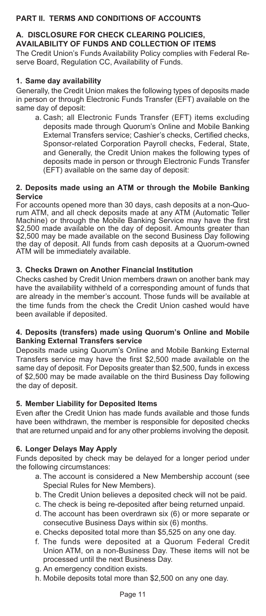# **PART II. TERMS AND CONDITIONS OF ACCOUNTS**

## **A. DISCLOSURE FOR CHECK CLEARING POLICIES, AVAILABILITY OF FUNDS AND COLLECTION OF ITEMS**

The Credit Union's Funds Availability Policy complies with Federal Reserve Board, Regulation CC, Availability of Funds.

#### **1. Same day availability**

Generally, the Credit Union makes the following types of deposits made in person or through Electronic Funds Transfer (EFT) available on the same day of deposit:

a. Cash; all Electronic Funds Transfer (EFT) items excluding deposits made through Quorum's Online and Mobile Banking External Transfers service; Cashier's checks, Certified checks, Sponsor-related Corporation Payroll checks, Federal, State, and Generally, the Credit Union makes the following types of deposits made in person or through Electronic Funds Transfer (EFT) available on the same day of deposit:

#### **2. Deposits made using an ATM or through the Mobile Banking Service**

For accounts opened more than 30 days, cash deposits at a non-Quorum ATM, and all check deposits made at any ATM (Automatic Teller Machine) or through the Mobile Banking Service may have the first \$2,500 made available on the day of deposit. Amounts greater than \$2,500 may be made available on the second Business Day following the day of deposit. All funds from cash deposits at a Quorum-owned ATM will be immediately available.

## **3. Checks Drawn on Another Financial Institution**

Checks cashed by Credit Union members drawn on another bank may have the availability withheld of a corresponding amount of funds that are already in the member's account. Those funds will be available at the time funds from the check the Credit Union cashed would have been available if deposited.

#### **4. Deposits (transfers) made using Quorum's Online and Mobile Banking External Transfers service**

Deposits made using Quorum's Online and Mobile Banking External Transfers service may have the first \$2,500 made available on the same day of deposit. For Deposits greater than \$2,500, funds in excess of \$2,500 may be made available on the third Business Day following the day of deposit.

## **5. Member Liability for Deposited Items**

Even after the Credit Union has made funds available and those funds have been withdrawn, the member is responsible for deposited checks that are returned unpaid and for any other problems involving the deposit.

## **6. Longer Delays May Apply**

Funds deposited by check may be delayed for a longer period under the following circumstances:

- a. The account is considered a New Membership account (see Special Rules for New Members).
- b. The Credit Union believes a deposited check will not be paid.
- c. The check is being re-deposited after being returned unpaid.
- d. The account has been overdrawn six (6) or more separate or consecutive Business Days within six (6) months.
- e. Checks deposited total more than \$5,525 on any one day.
- f. The funds were deposited at a Quorum Federal Credit Union ATM, on a non-Business Day. These items will not be processed until the next Business Day.
- g. An emergency condition exists.
- h. Mobile deposits total more than \$2,500 on any one day.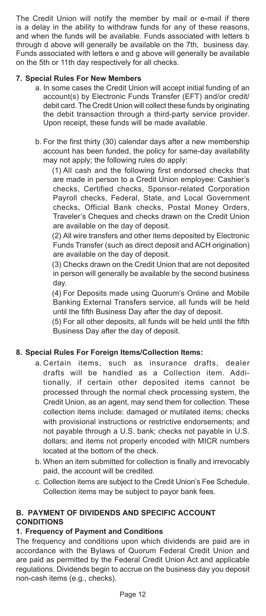The Credit Union will notify the member by mail or e-mail if there is a delay in the ability to withdraw funds for any of these reasons, and when the funds will be available. Funds associated with letters b through d above will generally be available on the 7th, business day. Funds associated with letters e and g above will generally be available on the 5th or 11th day respectively for all checks.

## **7. Special Rules For New Members**

- a. In some cases the Credit Union will accept initial funding of an account(s) by Electronic Funds Transfer (EFT) and/or credit/ debit card. The Credit Union will collect these funds by originating the debit transaction through a third-party service provider. Upon receipt, these funds will be made available.
- b. For the first thirty (30) calendar days after a new membership account has been funded, the policy for same-day availability may not apply; the following rules do apply:

(1) All cash and the following first endorsed checks that are made in person to a Credit Union employee: Cashier's checks, Certified checks, Sponsor-related Corporation Payroll checks, Federal, State, and Local Government checks, Official Bank checks, Postal Money Orders, Traveler's Cheques and checks drawn on the Credit Union are available on the day of deposit.

(2) All wire transfers and other items deposited by Electronic Funds Transfer (such as direct deposit and ACH origination) are available on the day of deposit.

(3) Checks drawn on the Credit Union that are not deposited in person will generally be available by the second business day.

(4) For Deposits made using Quorum's Online and Mobile Banking External Transfers service, all funds will be held until the fifth Business Day after the day of deposit.

(5) For all other deposits, all funds will be held until the fifth Business Day after the day of deposit.

## **8. Special Rules For Foreign Items/Collection Items:**

- a. Certain items, such as insurance drafts, dealer drafts will be handled as a Collection item. Additionally, if certain other deposited items cannot be processed through the normal check processing system, the Credit Union, as an agent, may send them for collection. These collection items include: damaged or mutilated items; checks with provisional instructions or restrictive endorsements; and not payable through a U.S. bank; checks not payable in U.S. dollars; and items not properly encoded with MICR numbers located at the bottom of the check.
- b. When an item submitted for collection is finally and irrevocably paid, the account will be credited.
- c. Collection items are subject to the Credit Union's Fee Schedule. Collection items may be subject to payor bank fees.

# **B. PAYMENT OF DIVIDENDS AND SPECIFIC ACCOUNT CONDITIONS**

## **1. Frequency of Payment and Conditions**

The frequency and conditions upon which dividends are paid are in accordance with the Bylaws of Quorum Federal Credit Union and are paid as permitted by the Federal Credit Union Act and applicable regulations. Dividends begin to accrue on the business day you deposit non-cash items (e.g., checks).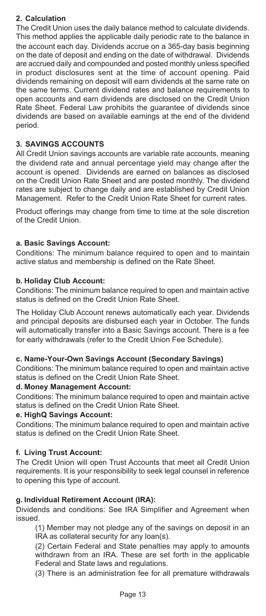## **2. Calculation**

The Credit Union uses the daily balance method to calculate dividends. This method applies the applicable daily periodic rate to the balance in the account each day. Dividends accrue on a 365-day basis beginning on the date of deposit and ending on the date of withdrawal. Dividends are accrued daily and compounded and posted monthly unless specified in product disclosures sent at the time of account opening. Paid dividends remaining on deposit will earn dividends at the same rate on the same terms. Current dividend rates and balance requirements to open accounts and earn dividends are disclosed on the Credit Union Rate Sheet. Federal Law prohibits the guarantee of dividends since dividends are based on available earnings at the end of the dividend period.

## **3. SAVINGS ACCOUNTS**

All Credit Union savings accounts are variable rate accounts, meaning the dividend rate and annual percentage yield may change after the account is opened. Dividends are earned on balances as disclosed on the Credit Union Rate Sheet and are posted monthly. The dividend rates are subject to change daily and are established by Credit Union Management. Refer to the Credit Union Rate Sheet for current rates.

Product offerings may change from time to time at the sole discretion of the Credit Union.

## **a. Basic Savings Account:**

Conditions: The minimum balance required to open and to maintain active status and membership is defined on the Rate Sheet.

#### **b. Holiday Club Account:**

Conditions: The minimum balance required to open and maintain active status is defined on the Credit Union Rate Sheet.

The Holiday Club Account renews automatically each year. Dividends and principal deposits are disbursed each year in October. The funds will automatically transfer into a Basic Savings account. There is a fee for early withdrawals (refer to the Credit Union Fee Schedule).

#### **c. Name-Your-Own Savings Account (Secondary Savings)**

Conditions: The minimum balance required to open and maintain active status is defined on the Credit Union Rate Sheet.

#### **d. Money Management Account:**

Conditions: The minimum balance required to open and maintain active status is defined on the Credit Union Rate Sheet.

#### **e. HighQ Savings Account:**

Conditions: The minimum balance required to open and maintain active status is defined on the Credit Union Rate Sheet.

## **f. Living Trust Account:**

The Credit Union will open Trust Accounts that meet all Credit Union requirements. It is your responsibility to seek legal counsel in reference to opening this type of account.

#### **g. Individual Retirement Account (IRA):**

Dividends and conditions: See IRA Simplifier and Agreement when issued.

 (1) Member may not pledge any of the savings on deposit in an IRA as collateral security for any loan(s).

 (2) Certain Federal and State penalties may apply to amounts withdrawn from an IRA. These are set forth in the applicable Federal and State laws and regulations.

(3) There is an administration fee for all premature withdrawals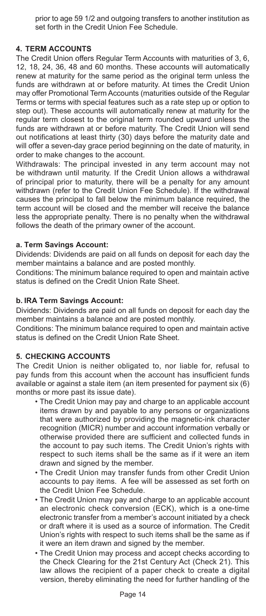prior to age 59 1/2 and outgoing transfers to another institution as set forth in the Credit Union Fee Schedule.

## **4. TERM ACCOUNTS**

The Credit Union offers Regular Term Accounts with maturities of 3, 6, 12, 18, 24, 36, 48 and 60 months. These accounts will automatically renew at maturity for the same period as the original term unless the funds are withdrawn at or before maturity. At times the Credit Union may offer Promotional Term Accounts (maturities outside of the Regular Terms or terms with special features such as a rate step up or option to step out). These accounts will automatically renew at maturity for the regular term closest to the original term rounded upward unless the funds are withdrawn at or before maturity. The Credit Union will send out notifications at least thirty (30) days before the maturity date and will offer a seven-day grace period beginning on the date of maturity, in order to make changes to the account.

Withdrawals: The principal invested in any term account may not be withdrawn until maturity. If the Credit Union allows a withdrawal of principal prior to maturity, there will be a penalty for any amount withdrawn (refer to the Credit Union Fee Schedule). If the withdrawal causes the principal to fall below the minimum balance required, the term account will be closed and the member will receive the balance less the appropriate penalty. There is no penalty when the withdrawal follows the death of the primary owner of the account.

## **a. Term Savings Account:**

Dividends: Dividends are paid on all funds on deposit for each day the member maintains a balance and are posted monthly.

Conditions: The minimum balance required to open and maintain active status is defined on the Credit Union Rate Sheet.

#### **b. IRA Term Savings Account:**

Dividends: Dividends are paid on all funds on deposit for each day the member maintains a balance and are posted monthly.

Conditions: The minimum balance required to open and maintain active status is defined on the Credit Union Rate Sheet.

## **5. CHECKING ACCOUNTS**

The Credit Union is neither obligated to, nor liable for, refusal to pay funds from this account when the account has insufficient funds available or against a stale item (an item presented for payment six (6) months or more past its issue date).

- The Credit Union may pay and charge to an applicable account items drawn by and payable to any persons or organizations that were authorized by providing the magnetic-ink character recognition (MICR) number and account information verbally or otherwise provided there are sufficient and collected funds in the account to pay such items. The Credit Union's rights with respect to such items shall be the same as if it were an item drawn and signed by the member.
- The Credit Union may transfer funds from other Credit Union accounts to pay items. A fee will be assessed as set forth on the Credit Union Fee Schedule.
- The Credit Union may pay and charge to an applicable account an electronic check conversion (ECK), which is a one-time electronic transfer from a member's account initiated by a check or draft where it is used as a source of information. The Credit Union's rights with respect to such items shall be the same as if it were an item drawn and signed by the member.
- The Credit Union may process and accept checks according to the Check Clearing for the 21st Century Act (Check 21). This law allows the recipient of a paper check to create a digital version, thereby eliminating the need for further handling of the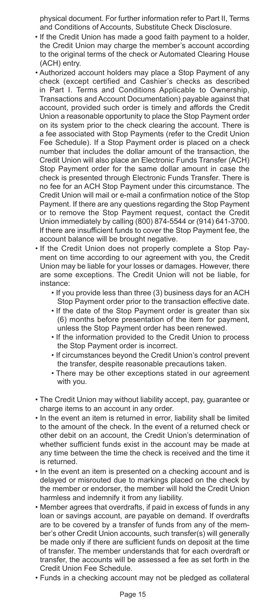physical document. For further information refer to Part II, Terms and Conditions of Accounts, Substitute Check Disclosure.

- If the Credit Union has made a good faith payment to a holder, the Credit Union may charge the member's account according to the original terms of the check or Automated Clearing House (ACH) entry.
- Authorized account holders may place a Stop Payment of any check (except certified and Cashier's checks as described in Part I. Terms and Conditions Applicable to Ownership, Transactions and Account Documentation) payable against that account, provided such order is timely and affords the Credit Union a reasonable opportunity to place the Stop Payment order on its system prior to the check clearing the account. There is a fee associated with Stop Payments (refer to the Credit Union Fee Schedule). If a Stop Payment order is placed on a check number that includes the dollar amount of the transaction, the Credit Union will also place an Electronic Funds Transfer (ACH) Stop Payment order for the same dollar amount in case the check is presented through Electronic Funds Transfer. There is no fee for an ACH Stop Payment under this circumstance. The Credit Union will mail or e-mail a confirmation notice of the Stop Payment. If there are any questions regarding the Stop Payment or to remove the Stop Payment request, contact the Credit Union immediately by calling (800) 874-5544 or (914) 641-3700. If there are insufficient funds to cover the Stop Payment fee, the account balance will be brought negative.
- If the Credit Union does not properly complete a Stop Payment on time according to our agreement with you, the Credit Union may be liable for your losses or damages. However, there are some exceptions. The Credit Union will not be liable, for instance:
	- If you provide less than three (3) business days for an ACH Stop Payment order prior to the transaction effective date.
	- If the date of the Stop Payment order is greater than six (6) months before presentation of the item for payment, unless the Stop Payment order has been renewed.
	- If the information provided to the Credit Union to process the Stop Payment order is incorrect.
	- If circumstances beyond the Credit Union's control prevent the transfer, despite reasonable precautions taken.
	- There may be other exceptions stated in our agreement with you.
- The Credit Union may without liability accept, pay, guarantee or charge items to an account in any order.
- In the event an item is returned in error, liability shall be limited to the amount of the check. In the event of a returned check or other debit on an account, the Credit Union's determination of whether sufficient funds exist in the account may be made at any time between the time the check is received and the time it is returned.
- In the event an item is presented on a checking account and is delayed or misrouted due to markings placed on the check by the member or endorser, the member will hold the Credit Union harmless and indemnify it from any liability.
- Member agrees that overdrafts, if paid in excess of funds in any loan or savings account, are payable on demand. If overdrafts are to be covered by a transfer of funds from any of the member's other Credit Union accounts, such transfer(s) will generally be made only if there are sufficient funds on deposit at the time of transfer. The member understands that for each overdraft or transfer, the accounts will be assessed a fee as set forth in the Credit Union Fee Schedule.
- Funds in a checking account may not be pledged as collateral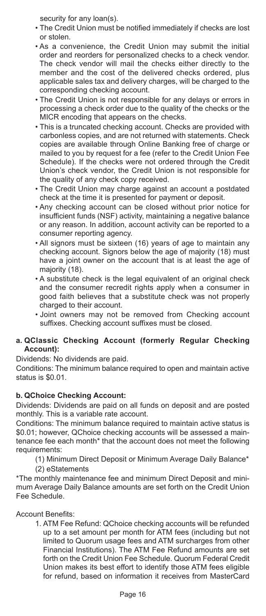security for any loan(s).

- The Credit Union must be notified immediately if checks are lost or stolen.
- As a convenience, the Credit Union may submit the initial order and reorders for personalized checks to a check vendor. The check vendor will mail the checks either directly to the member and the cost of the delivered checks ordered, plus applicable sales tax and delivery charges, will be charged to the corresponding checking account.
- The Credit Union is not responsible for any delays or errors in processing a check order due to the quality of the checks or the MICR encoding that appears on the checks.
- This is a truncated checking account. Checks are provided with carbonless copies, and are not returned with statements. Check copies are available through Online Banking free of charge or mailed to you by request for a fee (refer to the Credit Union Fee Schedule). If the checks were not ordered through the Credit Union's check vendor, the Credit Union is not responsible for the quality of any check copy received.
- The Credit Union may charge against an account a postdated check at the time it is presented for payment or deposit.
- Any checking account can be closed without prior notice for insufficient funds (NSF) activity, maintaining a negative balance or any reason. In addition, account activity can be reported to a consumer reporting agency.
- All signors must be sixteen (16) years of age to maintain any checking account. Signors below the age of majority (18) must have a joint owner on the account that is at least the age of majority (18).
- A substitute check is the legal equivalent of an original check and the consumer recredit rights apply when a consumer in good faith believes that a substitute check was not properly charged to their account.
- Joint owners may not be removed from Checking account suffixes. Checking account suffixes must be closed.

## **a. QClassic Checking Account (formerly Regular Checking Account):**

Dividends: No dividends are paid.

Conditions: The minimum balance required to open and maintain active status is \$0.01.

# **b. QChoice Checking Account:**

Dividends: Dividends are paid on all funds on deposit and are posted monthly. This is a variable rate account.

Conditions: The minimum balance required to maintain active status is \$0.01; however, QChoice checking accounts will be assessed a maintenance fee each month\* that the account does not meet the following requirements:

- (1) Minimum Direct Deposit or Minimum Average Daily Balance\*
- (2) eStatements

\*The monthly maintenance fee and minimum Direct Deposit and minimum Average Daily Balance amounts are set forth on the Credit Union Fee Schedule.

Account Benefits:

1. ATM Fee Refund: QChoice checking accounts will be refunded up to a set amount per month for ATM fees (including but not limited to Quorum usage fees and ATM surcharges from other Financial Institutions). The ATM Fee Refund amounts are set forth on the Credit Union Fee Schedule. Quorum Federal Credit Union makes its best effort to identify those ATM fees eligible for refund, based on information it receives from MasterCard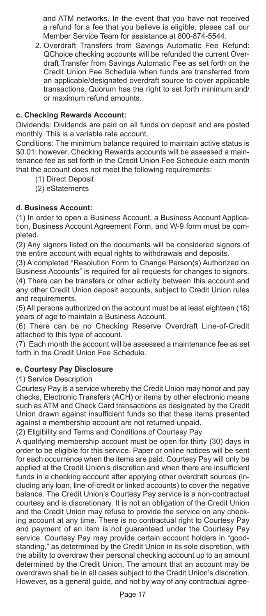and ATM networks. In the event that you have not received a refund for a fee that you believe is eligible, please call our Member Service Team for assistance at 800-874-5544.

2. Overdraft Transfers from Savings Automatic Fee Refund: QChoice checking accounts will be refunded the current Overdraft Transfer from Savings Automatic Fee as set forth on the Credit Union Fee Schedule when funds are transferred from an applicable/designated overdraft source to cover applicable transactions. Quorum has the right to set forth minimum and/ or maximum refund amounts.

## **c. Checking Rewards Account:**

Dividends: Dividends are paid on all funds on deposit and are posted monthly. This is a variable rate account.

Conditions: The minimum balance required to maintain active status is \$0.01; however, Checking Rewards accounts will be assessed a maintenance fee as set forth in the Credit Union Fee Schedule each month that the account does not meet the following requirements:

- (1) Direct Deposit
- (2) eStatements

## **d. Business Account:**

(1) In order to open a Business Account, a Business Account Application, Business Account Agreement Form, and W-9 form must be completed.

(2) Any signors listed on the documents will be considered signors of the entire account with equal rights to withdrawals and deposits.

(3) A completed "Resolution Form to Change Person(s) Authorized on Business Accounts" is required for all requests for changes to signors.

(4) There can be transfers or other activity between this account and any other Credit Union deposit accounts, subject to Credit Union rules and requirements.

(5) All persons authorized on the account must be at least eighteen (18) years of age to maintain a Business Account.

(6) There can be no Checking Reserve Overdraft Line-of-Credit attached to this type of account.

(7) Each month the account will be assessed a maintenance fee as set forth in the Credit Union Fee Schedule.

## **e. Courtesy Pay Disclosure**

## (1) Service Description

Courtesy Pay is a service whereby the Credit Union may honor and pay checks, Electronic Transfers (ACH) or items by other electronic means such as ATM and Check Card transactions as designated by the Credit Union drawn against insufficient funds so that these items presented against a membership account are not returned unpaid.

(2) Eligibility and Terms and Conditions of Courtesy Pay

A qualifying membership account must be open for thirty (30) days in order to be eligible for this service. Paper or online notices will be sent for each occurrence when the items are paid. Courtesy Pay will only be applied at the Credit Union's discretion and when there are insufficient funds in a checking account after applying other overdraft sources (including any loan, line-of-credit or linked accounts) to cover the negative balance. The Credit Union's Courtesy Pay service is a non-contractual courtesy and is discretionary. It is not an obligation of the Credit Union and the Credit Union may refuse to provide the service on any checking account at any time. There is no contractual right to Courtesy Pay and payment of an item is not guaranteed under the Courtesy Pay service. Courtesy Pay may provide certain account holders in "goodstanding," as determined by the Credit Union in its sole discretion, with the ability to overdraw their personal checking account up to an amount determined by the Credit Union. The amount that an account may be overdrawn shall be in all cases subject to the Credit Union's discretion. However, as a general guide, and not by way of any contractual agree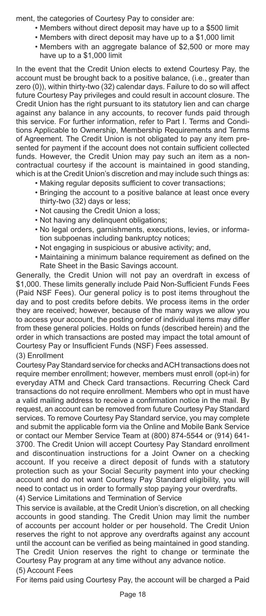ment, the categories of Courtesy Pay to consider are:

- Members without direct deposit may have up to a \$500 limit
- Members with direct deposit may have up to a \$1,000 limit
- Members with an aggregate balance of \$2,500 or more may have up to a \$1,000 limit

In the event that the Credit Union elects to extend Courtesy Pay, the account must be brought back to a positive balance, (i.e., greater than zero (0)), within thirty-two (32) calendar days. Failure to do so will affect future Courtesy Pay privileges and could result in account closure. The Credit Union has the right pursuant to its statutory lien and can charge against any balance in any accounts, to recover funds paid through this service. For further information, refer to Part I. Terms and Conditions Applicable to Ownership, Membership Requirements and Terms of Agreement. The Credit Union is not obligated to pay any item presented for payment if the account does not contain sufficient collected funds. However, the Credit Union may pay such an item as a noncontractual courtesy if the account is maintained in good standing, which is at the Credit Union's discretion and may include such things as:

- Making regular deposits sufficient to cover transactions;
- Bringing the account to a positive balance at least once every thirty-two (32) days or less;
- Not causing the Credit Union a loss;
- Not having any delinquent obligations;
- No legal orders, garnishments, executions, levies, or information subpoenas including bankruptcy notices;
- Not engaging in suspicious or abusive activity; and,
- Maintaining a minimum balance requirement as defined on the Rate Sheet in the Basic Savings account.

Generally, the Credit Union will not pay an overdraft in excess of \$1,000. These limits generally include Paid Non-Sufficient Funds Fees (Paid NSF Fees). Our general policy is to post items throughout the day and to post credits before debits. We process items in the order they are received; however, because of the many ways we allow you to access your account, the posting order of individual items may differ from these general policies. Holds on funds (described herein) and the order in which transactions are posted may impact the total amount of Courtesy Pay or Insufficient Funds (NSF) Fees assessed.

#### (3) Enrollment

Courtesy Pay Standard service for checks and ACH transactions does not require member enrollment; however, members must enroll (opt-in) for everyday ATM and Check Card transactions. Recurring Check Card transactions do not require enrollment. Members who opt in must have a valid mailing address to receive a confirmation notice in the mail. By request, an account can be removed from future Courtesy Pay Standard services. To remove Courtesy Pay Standard service, you may complete and submit the applicable form via the Online and Mobile Bank Service or contact our Member Service Team at (800) 874-5544 or (914) 641- 3700. The Credit Union will accept Courtesy Pay Standard enrollment and discontinuation instructions for a Joint Owner on a checking account. If you receive a direct deposit of funds with a statutory protection such as your Social Security payment into your checking account and do not want Courtesy Pay Standard eligibility, you will need to contact us in order to formally stop paying your overdrafts. (4) Service Limitations and Termination of Service

This service is available, at the Credit Union's discretion, on all checking accounts in good standing. The Credit Union may limit the number of accounts per account holder or per household. The Credit Union reserves the right to not approve any overdrafts against any account until the account can be verified as being maintained in good standing. The Credit Union reserves the right to change or terminate the Courtesy Pay program at any time without any advance notice.

#### (5) Account Fees

For items paid using Courtesy Pay, the account will be charged a Paid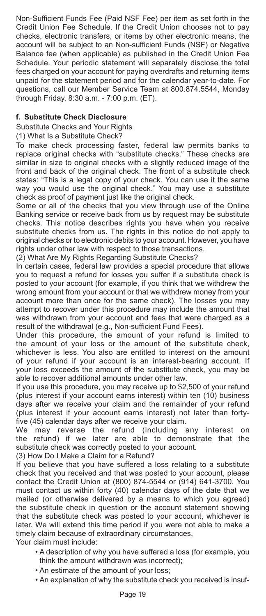Non-Sufficient Funds Fee (Paid NSF Fee) per item as set forth in the Credit Union Fee Schedule. If the Credit Union chooses not to pay checks, electronic transfers, or items by other electronic means, the account will be subject to an Non-sufficient Funds (NSF) or Negative Balance fee (when applicable) as published in the Credit Union Fee Schedule. Your periodic statement will separately disclose the total fees charged on your account for paying overdrafts and returning items unpaid for the statement period and for the calendar year-to-date. For questions, call our Member Service Team at 800.874.5544, Monday through Friday, 8:30 a.m. - 7:00 p.m. (ET).

## **f. Substitute Check Disclosure**

Substitute Checks and Your Rights

(1) What Is a Substitute Check?

To make check processing faster, federal law permits banks to replace original checks with "substitute checks." These checks are similar in size to original checks with a slightly reduced image of the front and back of the original check. The front of a substitute check states: "This is a legal copy of your check. You can use it the same way you would use the original check." You may use a substitute check as proof of payment just like the original check.

Some or all of the checks that you view through use of the Online Banking service or receive back from us by request may be substitute checks. This notice describes rights you have when you receive substitute checks from us. The rights in this notice do not apply to original checks or to electronic debits to your account. However, you have rights under other law with respect to those transactions.

(2) What Are My Rights Regarding Substitute Checks?

In certain cases, federal law provides a special procedure that allows you to request a refund for losses you suffer if a substitute check is posted to your account (for example, if you think that we withdrew the wrong amount from your account or that we withdrew money from your account more than once for the same check). The losses you may attempt to recover under this procedure may include the amount that was withdrawn from your account and fees that were charged as a result of the withdrawal (e.g., Non-sufficient Fund Fees).

Under this procedure, the amount of your refund is limited to the amount of your loss or the amount of the substitute check, whichever is less. You also are entitled to interest on the amount of your refund if your account is an interest-bearing account. If your loss exceeds the amount of the substitute check, you may be able to recover additional amounts under other law.

If you use this procedure, you may receive up to \$2,500 of your refund (plus interest if your account earns interest) within ten (10) business days after we receive your claim and the remainder of your refund (plus interest if your account earns interest) not later than fortyfive (45) calendar days after we receive your claim.

We may reverse the refund (including any interest on the refund) if we later are able to demonstrate that the substitute check was correctly posted to your account.

(3) How Do I Make a Claim for a Refund?

If you believe that you have suffered a loss relating to a substitute check that you received and that was posted to your account, please contact the Credit Union at (800) 874-5544 or (914) 641-3700. You must contact us within forty (40) calendar days of the date that we mailed (or otherwise delivered by a means to which you agreed) the substitute check in question or the account statement showing that the substitute check was posted to your account, whichever is later. We will extend this time period if you were not able to make a timely claim because of extraordinary circumstances.

Your claim must include:

- A description of why you have suffered a loss (for example, you think the amount withdrawn was incorrect);
- An estimate of the amount of your loss;
- An explanation of why the substitute check you received is insuf-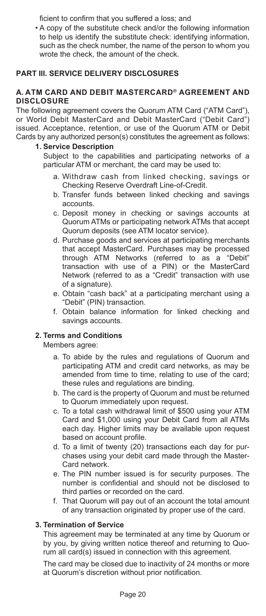ficient to confirm that you suffered a loss; and

• A copy of the substitute check and/or the following information to help us identify the substitute check: identifying information, such as the check number, the name of the person to whom you wrote the check, the amount of the check.

## **PART III. SERVICE DELIVERY DISCLOSURES**

#### **A. ATM CARD AND DEBIT MASTERCARD® AGREEMENT AND DISCLOSURE**

The following agreement covers the Quorum ATM Card ("ATM Card"), or World Debit MasterCard and Debit MasterCard ("Debit Card") issued. Acceptance, retention, or use of the Quorum ATM or Debit Cards by any authorized person(s) constitutes the agreement as follows:

#### **1. Service Description**

Subject to the capabilities and participating networks of a particular ATM or merchant, the card may be used to:

- a. Withdraw cash from linked checking, savings or Checking Reserve Overdraft Line-of-Credit.
- b. Transfer funds between linked checking and savings accounts.
- c. Deposit money in checking or savings accounts at Quorum ATMs or participating network ATMs that accept Quorum deposits (see ATM locator service).
- d. Purchase goods and services at participating merchants that accept MasterCard. Purchases may be processed through ATM Networks (referred to as a "Debit" transaction with use of a PIN) or the MasterCard Network (referred to as a "Credit" transaction with use of a signature).
- e. Obtain "cash back" at a participating merchant using a "Debit" (PIN) transaction.
- f. Obtain balance information for linked checking and savings accounts.

## **2. Terms and Conditions**

Members agree:

- a. To abide by the rules and regulations of Quorum and participating ATM and credit card networks, as may be amended from time to time, relating to use of the card; these rules and regulations are binding.
- b. The card is the property of Quorum and must be returned to Quorum immediately upon request.
- c. To a total cash withdrawal limit of \$500 using your ATM Card and \$1,000 using your Debit Card from all ATMs each day. Higher limits may be available upon request based on account profile.
- d. To a limit of twenty (20) transactions each day for purchases using your debit card made through the Master-Card network.
- e. The PIN number issued is for security purposes. The number is confidential and should not be disclosed to third parties or recorded on the card.
- f. That Quorum will pay out of an account the total amount of any transaction originated by proper use of the card.

## **3. Termination of Service**

This agreement may be terminated at any time by Quorum or by you, by giving written notice thereof and returning to Quorum all card(s) issued in connection with this agreement.

The card may be closed due to inactivity of 24 months or more at Quorum's discretion without prior notification.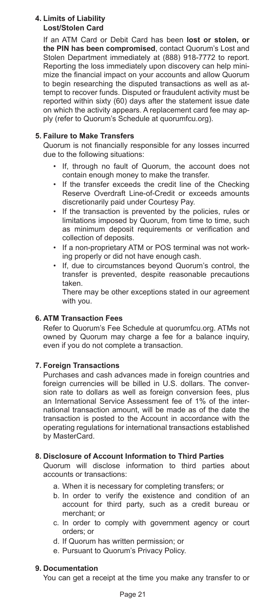#### **4. Limits of Liability Lost/Stolen Card**

If an ATM Card or Debit Card has been **lost or stolen, or the PIN has been compromised**, contact Quorum's Lost and Stolen Department immediately at (888) 918-7772 to report. Reporting the loss immediately upon discovery can help minimize the financial impact on your accounts and allow Quorum to begin researching the disputed transactions as well as attempt to recover funds. Disputed or fraudulent activity must be reported within sixty (60) days after the statement issue date on which the activity appears. A replacement card fee may apply (refer to Quorum's Schedule at quorumfcu.org).

## **5. Failure to Make Transfers**

Quorum is not financially responsible for any losses incurred due to the following situations:

- If, through no fault of Quorum, the account does not contain enough money to make the transfer.
- If the transfer exceeds the credit line of the Checking Reserve Overdraft Line-of-Credit or exceeds amounts discretionarily paid under Courtesy Pay.
- If the transaction is prevented by the policies, rules or limitations imposed by Quorum, from time to time, such as minimum deposit requirements or verification and collection of deposits.
- If a non-proprietary ATM or POS terminal was not working properly or did not have enough cash.
- If, due to circumstances beyond Quorum's control, the transfer is prevented, despite reasonable precautions taken.

There may be other exceptions stated in our agreement with you.

# **6. ATM Transaction Fees**

Refer to Quorum's Fee Schedule at quorumfcu.org. ATMs not owned by Quorum may charge a fee for a balance inquiry, even if you do not complete a transaction.

## **7. Foreign Transactions**

Purchases and cash advances made in foreign countries and foreign currencies will be billed in U.S. dollars. The conversion rate to dollars as well as foreign conversion fees, plus an International Service Assessment fee of 1% of the international transaction amount, will be made as of the date the transaction is posted to the Account in accordance with the operating regulations for international transactions established by MasterCard.

## **8. Disclosure of Account Information to Third Parties**

Quorum will disclose information to third parties about accounts or transactions:

- a. When it is necessary for completing transfers; or
- b. In order to verify the existence and condition of an account for third party, such as a credit bureau or merchant; or
- c. In order to comply with government agency or court orders; or
- d. If Quorum has written permission; or
- e. Pursuant to Quorum's Privacy Policy.

#### **9. Documentation**

You can get a receipt at the time you make any transfer to or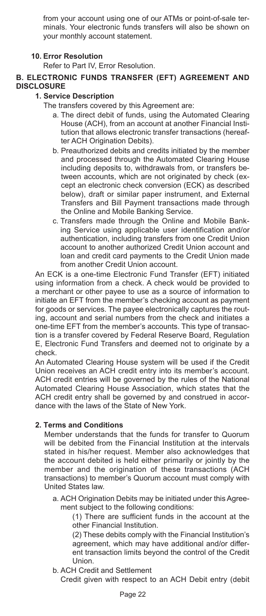from your account using one of our ATMs or point-of-sale terminals. Your electronic funds transfers will also be shown on your monthly account statement.

## **10. Error Resolution**

Refer to Part IV, Error Resolution.

## **B. ELECTRONIC FUNDS TRANSFER (EFT) AGREEMENT AND DISCLOSURE**

#### **1. Service Description**

The transfers covered by this Agreement are:

- a. The direct debit of funds, using the Automated Clearing House (ACH), from an account at another Financial Institution that allows electronic transfer transactions (hereafter ACH Origination Debits).
- b. Preauthorized debits and credits initiated by the member and processed through the Automated Clearing House including deposits to, withdrawals from, or transfers between accounts, which are not originated by check (except an electronic check conversion (ECK) as described below), draft or similar paper instrument, and External Transfers and Bill Payment transactions made through the Online and Mobile Banking Service.
- c. Transfers made through the Online and Mobile Banking Service using applicable user identification and/or authentication, including transfers from one Credit Union account to another authorized Credit Union account and loan and credit card payments to the Credit Union made from another Credit Union account.

 An ECK is a one-time Electronic Fund Transfer (EFT) initiated using information from a check. A check would be provided to a merchant or other payee to use as a source of information to initiate an EFT from the member's checking account as payment for goods or services. The payee electronically captures the routing, account and serial numbers from the check and initiates a one-time EFT from the member's accounts. This type of transaction is a transfer covered by Federal Reserve Board, Regulation E, Electronic Fund Transfers and deemed not to originate by a check.

 An Automated Clearing House system will be used if the Credit Union receives an ACH credit entry into its member's account. ACH credit entries will be governed by the rules of the National Automated Clearing House Association, which states that the ACH credit entry shall be governed by and construed in accordance with the laws of the State of New York.

## **2. Terms and Conditions**

 Member understands that the funds for transfer to Quorum will be debited from the Financial Institution at the intervals stated in his/her request. Member also acknowledges that the account debited is held either primarily or jointly by the member and the origination of these transactions (ACH transactions) to member's Quorum account must comply with United States law.

 a. ACH Origination Debits may be initiated under this Agreement subject to the following conditions:

 (1) There are sufficient funds in the account at the other Financial Institution.

 (2) These debits comply with the Financial Institution's agreement, which may have additional and/or different transaction limits beyond the control of the Credit Union.

b. ACH Credit and Settlement

Credit given with respect to an ACH Debit entry (debit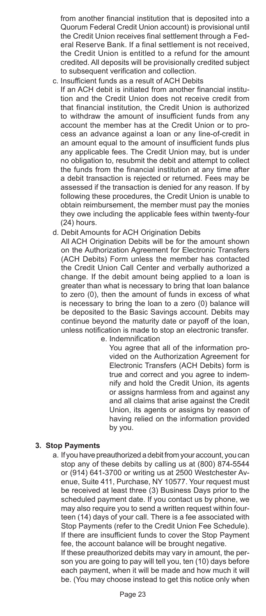from another financial institution that is deposited into a Quorum Federal Credit Union account) is provisional until the Credit Union receives final settlement through a Federal Reserve Bank. If a final settlement is not received, the Credit Union is entitled to a refund for the amount credited. All deposits will be provisionally credited subject to subsequent verification and collection.

c. Insufficient funds as a result of ACH Debits

If an ACH debit is initiated from another financial institution and the Credit Union does not receive credit from that financial institution, the Credit Union is authorized to withdraw the amount of insufficient funds from any account the member has at the Credit Union or to process an advance against a loan or any line-of-credit in an amount equal to the amount of insufficient funds plus any applicable fees. The Credit Union may, but is under no obligation to, resubmit the debit and attempt to collect the funds from the financial institution at any time after a debit transaction is rejected or returned. Fees may be assessed if the transaction is denied for any reason. If by following these procedures, the Credit Union is unable to obtain reimbursement, the member must pay the monies they owe including the applicable fees within twenty-four (24) hours.

d. Debit Amounts for ACH Origination Debits

All ACH Origination Debits will be for the amount shown on the Authorization Agreement for Electronic Transfers (ACH Debits) Form unless the member has contacted the Credit Union Call Center and verbally authorized a change. If the debit amount being applied to a loan is greater than what is necessary to bring that loan balance to zero (0), then the amount of funds in excess of what is necessary to bring the loan to a zero (0) balance will be deposited to the Basic Savings account. Debits may continue beyond the maturity date or payoff of the loan, unless notification is made to stop an electronic transfer.

e. Indemnification

You agree that all of the information provided on the Authorization Agreement for Electronic Transfers (ACH Debits) form is true and correct and you agree to indemnify and hold the Credit Union, its agents or assigns harmless from and against any and all claims that arise against the Credit Union, its agents or assigns by reason of having relied on the information provided by you.

#### **3. Stop Payments**

 a. If you have preauthorized a debit from your account, you can stop any of these debits by calling us at (800) 874-5544 or (914) 641-3700 or writing us at 2500 Westchester Avenue, Suite 411, Purchase, NY 10577. Your request must be received at least three (3) Business Days prior to the scheduled payment date. If you contact us by phone, we may also require you to send a written request within fourteen (14) days of your call. There is a fee associated with Stop Payments (refer to the Credit Union Fee Schedule). If there are insufficient funds to cover the Stop Payment fee, the account balance will be brought negative.

If these preauthorized debits may vary in amount, the person you are going to pay will tell you, ten (10) days before each payment, when it will be made and how much it will be. (You may choose instead to get this notice only when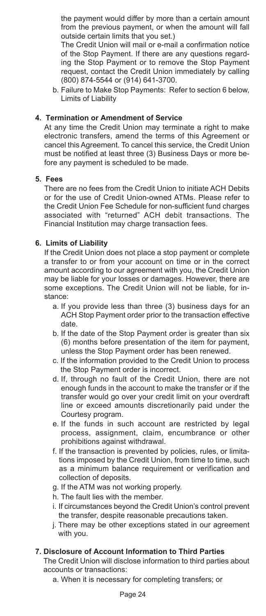the payment would differ by more than a certain amount from the previous payment, or when the amount will fall outside certain limits that you set.)

The Credit Union will mail or e-mail a confirmation notice of the Stop Payment. If there are any questions regarding the Stop Payment or to remove the Stop Payment request, contact the Credit Union immediately by calling (800) 874-5544 or (914) 641-3700.

 b. Failure to Make Stop Payments: Refer to section 6 below, Limits of Liability

#### **4. Termination or Amendment of Service**

 At any time the Credit Union may terminate a right to make electronic transfers, amend the terms of this Agreement or cancel this Agreement. To cancel this service, the Credit Union must be notified at least three (3) Business Days or more before any payment is scheduled to be made.

#### **5. Fees**

 There are no fees from the Credit Union to initiate ACH Debits or for the use of Credit Union-owned ATMs. Please refer to the Credit Union Fee Schedule for non-sufficient fund charges associated with "returned" ACH debit transactions. The Financial Institution may charge transaction fees.

## **6. Limits of Liability**

 If the Credit Union does not place a stop payment or complete a transfer to or from your account on time or in the correct amount according to our agreement with you, the Credit Union may be liable for your losses or damages. However, there are some exceptions. The Credit Union will not be liable, for instance:

- a. If you provide less than three (3) business days for an ACH Stop Payment order prior to the transaction effective date.
- b. If the date of the Stop Payment order is greater than six (6) months before presentation of the item for payment, unless the Stop Payment order has been renewed.
- c. If the information provided to the Credit Union to process the Stop Payment order is incorrect.
- d. If, through no fault of the Credit Union, there are not enough funds in the account to make the transfer or if the transfer would go over your credit limit on your overdraft line or exceed amounts discretionarily paid under the Courtesy program.
- e. If the funds in such account are restricted by legal process, assignment, claim, encumbrance or other prohibitions against withdrawal.
- f. If the transaction is prevented by policies, rules, or limitations imposed by the Credit Union, from time to time, such as a minimum balance requirement or verification and collection of deposits.
- g. If the ATM was not working properly.
- h. The fault lies with the member.
- i. If circumstances beyond the Credit Union's control prevent the transfer, despite reasonable precautions taken.
- j. There may be other exceptions stated in our agreement with you.

#### **7. Disclosure of Account Information to Third Parties**

 The Credit Union will disclose information to third parties about accounts or transactions:

a. When it is necessary for completing transfers; or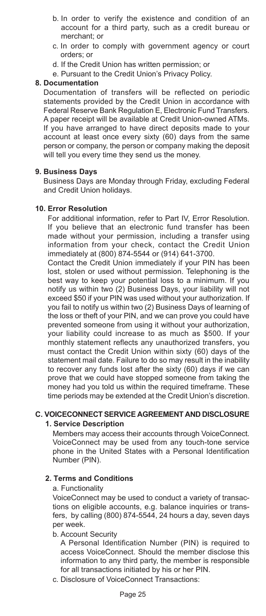- b. In order to verify the existence and condition of an account for a third party, such as a credit bureau or merchant; or
- c. In order to comply with government agency or court orders; or
- d. If the Credit Union has written permission; or
- e. Pursuant to the Credit Union's Privacy Policy.

#### **8. Documentation**

 Documentation of transfers will be reflected on periodic statements provided by the Credit Union in accordance with Federal Reserve Bank Regulation E, Electronic Fund Transfers. A paper receipt will be available at Credit Union-owned ATMs. If you have arranged to have direct deposits made to your account at least once every sixty (60) days from the same person or company, the person or company making the deposit will tell you every time they send us the money.

#### **9. Business Days**

 Business Days are Monday through Friday, excluding Federal and Credit Union holidays.

#### **10. Error Resolution**

 For additional information, refer to Part IV, Error Resolution. If you believe that an electronic fund transfer has been made without your permission, including a transfer using information from your check, contact the Credit Union immediately at (800) 874-5544 or (914) 641-3700.

Contact the Credit Union immediately if your PIN has been lost, stolen or used without permission. Telephoning is the best way to keep your potential loss to a minimum. If you notify us within two (2) Business Days, your liability will not exceed \$50 if your PIN was used without your authorization. If you fail to notify us within two (2) Business Days of learning of the loss or theft of your PIN, and we can prove you could have prevented someone from using it without your authorization, your liability could increase to as much as \$500. If your monthly statement reflects any unauthorized transfers, you must contact the Credit Union within sixty (60) days of the statement mail date. Failure to do so may result in the inability to recover any funds lost after the sixty (60) days if we can prove that we could have stopped someone from taking the money had you told us within the required timeframe. These time periods may be extended at the Credit Union's discretion.

# **C. VOICECONNECT SERVICE AGREEMENT AND DISCLOSURE**

## **1. Service Description**

 Members may access their accounts through VoiceConnect. VoiceConnect may be used from any touch-tone service phone in the United States with a Personal Identification Number (PIN).

#### **2. Terms and Conditions**

#### a. Functionality

 VoiceConnect may be used to conduct a variety of transactions on eligible accounts, e.g. balance inquiries or transfers, by calling (800) 874-5544, 24 hours a day, seven days per week.

#### b. Account Security

 A Personal Identification Number (PIN) is required to access VoiceConnect. Should the member disclose this information to any third party, the member is responsible for all transactions initiated by his or her PIN.

c. Disclosure of VoiceConnect Transactions: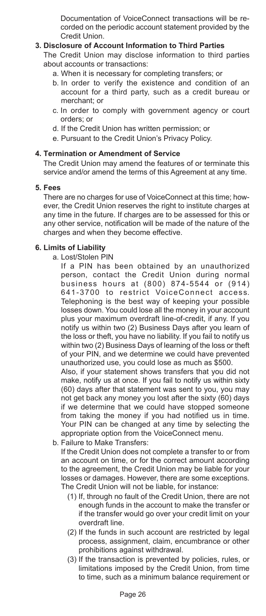Documentation of VoiceConnect transactions will be recorded on the periodic account statement provided by the Credit Union.

## **3. Disclosure of Account Information to Third Parties**

 The Credit Union may disclose information to third parties about accounts or transactions:

- a. When it is necessary for completing transfers; or
- b. In order to verify the existence and condition of an account for a third party, such as a credit bureau or merchant; or
- c. In order to comply with government agency or court orders; or
- d. If the Credit Union has written permission; or
- e. Pursuant to the Credit Union's Privacy Policy.

#### **4. Termination or Amendment of Service**

 The Credit Union may amend the features of or terminate this service and/or amend the terms of this Agreement at any time.

#### **5. Fees**

 There are no charges for use of VoiceConnect at this time; however, the Credit Union reserves the right to institute charges at any time in the future. If charges are to be assessed for this or any other service, notification will be made of the nature of the charges and when they become effective.

#### **6. Limits of Liability**

a. Lost/Stolen PIN

If a PIN has been obtained by an unauthorized person, contact the Credit Union during normal business hours at (800) 874-5544 or (914) 641-3700 to restrict VoiceConnect access. Telephoning is the best way of keeping your possible losses down. You could lose all the money in your account plus your maximum overdraft line-of-credit, if any. If you notify us within two (2) Business Days after you learn of the loss or theft, you have no liability. If you fail to notify us within two (2) Business Days of learning of the loss or theft of your PIN, and we determine we could have prevented unauthorized use, you could lose as much as \$500. Also, if your statement shows transfers that you did not make, notify us at once. If you fail to notify us within sixty

(60) days after that statement was sent to you, you may not get back any money you lost after the sixty (60) days if we determine that we could have stopped someone from taking the money if you had notified us in time. Your PIN can be changed at any time by selecting the appropriate option from the VoiceConnect menu.

b. Failure to Make Transfers:

If the Credit Union does not complete a transfer to or from an account on time, or for the correct amount according to the agreement, the Credit Union may be liable for your losses or damages. However, there are some exceptions. The Credit Union will not be liable, for instance:

- (1) If, through no fault of the Credit Union, there are not enough funds in the account to make the transfer or if the transfer would go over your credit limit on your overdraft line.
- (2) If the funds in such account are restricted by legal process, assignment, claim, encumbrance or other prohibitions against withdrawal.
- (3) If the transaction is prevented by policies, rules, or limitations imposed by the Credit Union, from time to time, such as a minimum balance requirement or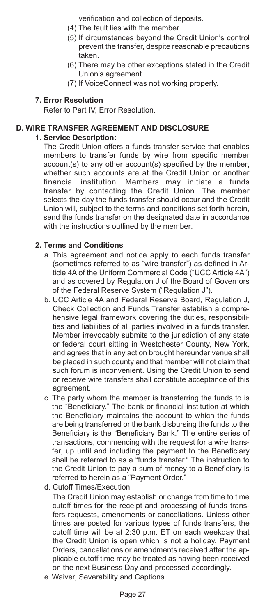verification and collection of deposits.

- (4) The fault lies with the member.
- (5) If circumstances beyond the Credit Union's control prevent the transfer, despite reasonable precautions taken.
- (6) There may be other exceptions stated in the Credit Union's agreement.
- (7) If VoiceConnect was not working properly.

#### **7. Error Resolution**

Refer to Part IV, Error Resolution.

#### **D. WIRE TRANSFER AGREEMENT AND DISCLOSURE**

#### **1. Service Description:**

The Credit Union offers a funds transfer service that enables members to transfer funds by wire from specific member account(s) to any other account(s) specified by the member, whether such accounts are at the Credit Union or another financial institution. Members may initiate a funds transfer by contacting the Credit Union. The member selects the day the funds transfer should occur and the Credit Union will, subject to the terms and conditions set forth herein, send the funds transfer on the designated date in accordance with the instructions outlined by the member.

#### **2. Terms and Conditions**

- a. This agreement and notice apply to each funds transfer (sometimes referred to as "wire transfer") as defined in Article 4A of the Uniform Commercial Code ("UCC Article 4A") and as covered by Regulation J of the Board of Governors of the Federal Reserve System ("Regulation J").
- b. UCC Article 4A and Federal Reserve Board, Regulation J, Check Collection and Funds Transfer establish a comprehensive legal framework covering the duties, responsibilities and liabilities of all parties involved in a funds transfer. Member irrevocably submits to the jurisdiction of any state or federal court sitting in Westchester County, New York, and agrees that in any action brought hereunder venue shall be placed in such county and that member will not claim that such forum is inconvenient. Using the Credit Union to send or receive wire transfers shall constitute acceptance of this agreement.
- c. The party whom the member is transferring the funds to is the "Beneficiary." The bank or financial institution at which the Beneficiary maintains the account to which the funds are being transferred or the bank disbursing the funds to the Beneficiary is the "Beneficiary Bank." The entire series of transactions, commencing with the request for a wire transfer, up until and including the payment to the Beneficiary shall be referred to as a "funds transfer." The instruction to the Credit Union to pay a sum of money to a Beneficiary is referred to herein as a "Payment Order."
- d. Cutoff Times/Execution

 The Credit Union may establish or change from time to time cutoff times for the receipt and processing of funds transfers requests, amendments or cancellations. Unless other times are posted for various types of funds transfers, the cutoff time will be at 2:30 p.m. ET on each weekday that the Credit Union is open which is not a holiday. Payment Orders, cancellations or amendments received after the applicable cutoff time may be treated as having been received on the next Business Day and processed accordingly.

e. Waiver, Severability and Captions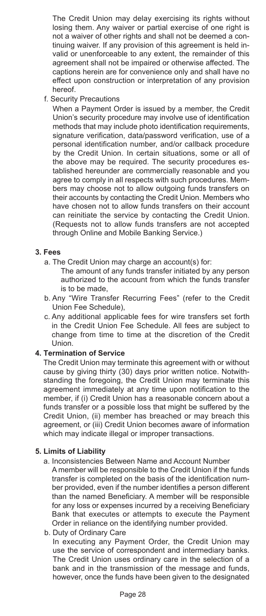The Credit Union may delay exercising its rights without losing them. Any waiver or partial exercise of one right is not a waiver of other rights and shall not be deemed a continuing waiver. If any provision of this agreement is held invalid or unenforceable to any extent, the remainder of this agreement shall not be impaired or otherwise affected. The captions herein are for convenience only and shall have no effect upon construction or interpretation of any provision hereof.

f. Security Precautions

 When a Payment Order is issued by a member, the Credit Union's security procedure may involve use of identification methods that may include photo identification requirements, signature verification, data/password verification, use of a personal identification number, and/or callback procedure by the Credit Union. In certain situations, some or all of the above may be required. The security procedures established hereunder are commercially reasonable and you agree to comply in all respects with such procedures. Members may choose not to allow outgoing funds transfers on their accounts by contacting the Credit Union. Members who have chosen not to allow funds transfers on their account can reinitiate the service by contacting the Credit Union. (Requests not to allow funds transfers are not accepted through Online and Mobile Banking Service.)

#### **3. Fees**

- a. The Credit Union may charge an account(s) for:
	- The amount of any funds transfer initiated by any person authorized to the account from which the funds transfer is to be made,
- b. Any "Wire Transfer Recurring Fees" (refer to the Credit Union Fee Schedule),
- c. Any additional applicable fees for wire transfers set forth in the Credit Union Fee Schedule. All fees are subject to change from time to time at the discretion of the Credit Union.

#### **4. Termination of Service**

 The Credit Union may terminate this agreement with or without cause by giving thirty (30) days prior written notice. Notwithstanding the foregoing, the Credit Union may terminate this agreement immediately at any time upon notification to the member, if (i) Credit Union has a reasonable concern about a funds transfer or a possible loss that might be suffered by the Credit Union, (ii) member has breached or may breach this agreement, or (iii) Credit Union becomes aware of information which may indicate illegal or improper transactions.

## **5. Limits of Liability**

a. Inconsistencies Between Name and Account Number

A member will be responsible to the Credit Union if the funds transfer is completed on the basis of the identification number provided, even if the number identifies a person different than the named Beneficiary. A member will be responsible for any loss or expenses incurred by a receiving Beneficiary Bank that executes or attempts to execute the Payment Order in reliance on the identifying number provided.

b. Duty of Ordinary Care

In executing any Payment Order, the Credit Union may use the service of correspondent and intermediary banks. The Credit Union uses ordinary care in the selection of a bank and in the transmission of the message and funds, however, once the funds have been given to the designated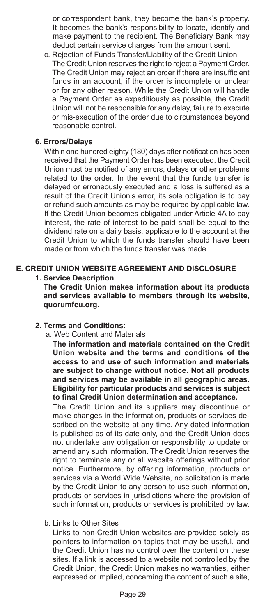or correspondent bank, they become the bank's property. It becomes the bank's responsibility to locate, identify and make payment to the recipient. The Beneficiary Bank may deduct certain service charges from the amount sent.

 c. Rejection of Funds Transfer/Liability of the Credit Union The Credit Union reserves the right to reject a Payment Order. The Credit Union may reject an order if there are insufficient funds in an account, if the order is incomplete or unclear or for any other reason. While the Credit Union will handle a Payment Order as expeditiously as possible, the Credit Union will not be responsible for any delay, failure to execute or mis-execution of the order due to circumstances beyond reasonable control.

#### **6. Errors/Delays**

 Within one hundred eighty (180) days after notification has been received that the Payment Order has been executed, the Credit Union must be notified of any errors, delays or other problems related to the order. In the event that the funds transfer is delayed or erroneously executed and a loss is suffered as a result of the Credit Union's error, its sole obligation is to pay or refund such amounts as may be required by applicable law. If the Credit Union becomes obligated under Article 4A to pay interest, the rate of interest to be paid shall be equal to the dividend rate on a daily basis, applicable to the account at the Credit Union to which the funds transfer should have been made or from which the funds transfer was made.

# **E. CREDIT UNION WEBSITE AGREEMENT AND DISCLOSURE**

#### **1. Service Description**

**The Credit Union makes information about its products and services available to members through its website, quorumfcu.org.** 

## **2. Terms and Conditions:**

a. Web Content and Materials

 **The information and materials contained on the Credit Union website and the terms and conditions of the access to and use of such information and materials are subject to change without notice. Not all products and services may be available in all geographic areas. Eligibility for particular products and services is subject to final Credit Union determination and acceptance.**

 The Credit Union and its suppliers may discontinue or make changes in the information, products or services described on the website at any time. Any dated information is published as of its date only, and the Credit Union does not undertake any obligation or responsibility to update or amend any such information. The Credit Union reserves the right to terminate any or all website offerings without prior notice. Furthermore, by offering information, products or services via a World Wide Website, no solicitation is made by the Credit Union to any person to use such information, products or services in jurisdictions where the provision of such information, products or services is prohibited by law.

b. Links to Other Sites

 Links to non-Credit Union websites are provided solely as pointers to information on topics that may be useful, and the Credit Union has no control over the content on these sites. If a link is accessed to a website not controlled by the Credit Union, the Credit Union makes no warranties, either expressed or implied, concerning the content of such a site,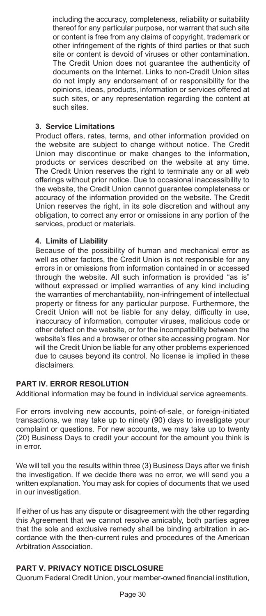including the accuracy, completeness, reliability or suitability thereof for any particular purpose, nor warrant that such site or content is free from any claims of copyright, trademark or other infringement of the rights of third parties or that such site or content is devoid of viruses or other contamination. The Credit Union does not guarantee the authenticity of documents on the Internet. Links to non-Credit Union sites do not imply any endorsement of or responsibility for the opinions, ideas, products, information or services offered at such sites, or any representation regarding the content at such sites.

#### **3. Service Limitations**

 Product offers, rates, terms, and other information provided on the website are subject to change without notice. The Credit Union may discontinue or make changes to the information, products or services described on the website at any time. The Credit Union reserves the right to terminate any or all web offerings without prior notice. Due to occasional inaccessibility to the website, the Credit Union cannot guarantee completeness or accuracy of the information provided on the website. The Credit Union reserves the right, in its sole discretion and without any obligation, to correct any error or omissions in any portion of the services, product or materials.

#### **4. Limits of Liability**

 Because of the possibility of human and mechanical error as well as other factors, the Credit Union is not responsible for any errors in or omissions from information contained in or accessed through the website. All such information is provided "as is" without expressed or implied warranties of any kind including the warranties of merchantability, non-infringement of intellectual property or fitness for any particular purpose. Furthermore, the Credit Union will not be liable for any delay, difficulty in use, inaccuracy of information, computer viruses, malicious code or other defect on the website, or for the incompatibility between the website's files and a browser or other site accessing program. Nor will the Credit Union be liable for any other problems experienced due to causes beyond its control. No license is implied in these disclaimers.

#### **PART IV. ERROR RESOLUTION**

Additional information may be found in individual service agreements.

For errors involving new accounts, point-of-sale, or foreign-initiated transactions, we may take up to ninety (90) days to investigate your complaint or questions. For new accounts, we may take up to twenty (20) Business Days to credit your account for the amount you think is in error.

We will tell you the results within three (3) Business Days after we finish the investigation. If we decide there was no error, we will send you a written explanation. You may ask for copies of documents that we used in our investigation.

If either of us has any dispute or disagreement with the other regarding this Agreement that we cannot resolve amicably, both parties agree that the sole and exclusive remedy shall be binding arbitration in accordance with the then-current rules and procedures of the American Arbitration Association.

# **PART V. PRIVACY NOTICE DISCLOSURE**

Quorum Federal Credit Union, your member-owned financial institution,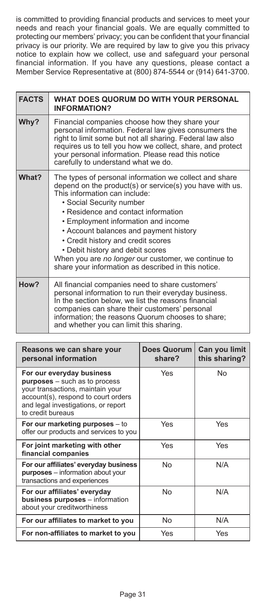is committed to providing financial products and services to meet your needs and reach your financial goals. We are equally committed to protecting our members' privacy; you can be confident that your financial privacy is our priority. We are required by law to give you this privacy notice to explain how we collect, use and safeguard your personal financial information. If you have any questions, please contact a Member Service Representative at (800) 874-5544 or (914) 641-3700.

| <b>FACTS</b> | WHAT DOES QUORUM DO WITH YOUR PERSONAL<br><b>INFORMATION?</b>                                                                                                                                                                                                                                                                                                                                                                                                                                   |
|--------------|-------------------------------------------------------------------------------------------------------------------------------------------------------------------------------------------------------------------------------------------------------------------------------------------------------------------------------------------------------------------------------------------------------------------------------------------------------------------------------------------------|
| Why?         | Financial companies choose how they share your<br>personal information. Federal law gives consumers the<br>right to limit some but not all sharing. Federal law also<br>requires us to tell you how we collect, share, and protect<br>your personal information. Please read this notice<br>carefully to understand what we do.                                                                                                                                                                 |
| What?        | The types of personal information we collect and share<br>depend on the product(s) or service(s) you have with us.<br>This information can include:<br>• Social Security number<br>• Residence and contact information<br>• Employment information and income<br>• Account balances and payment history<br>• Credit history and credit scores<br>• Debit history and debit scores<br>When you are no longer our customer, we continue to<br>share your information as described in this notice. |
| How?         | All financial companies need to share customers'<br>personal information to run their everyday business.<br>In the section below, we list the reasons financial<br>companies can share their customers' personal<br>information; the reasons Quorum chooses to share;<br>and whether you can limit this sharing.                                                                                                                                                                                |

| Reasons we can share your<br>personal information                                                                                                                                                        | <b>Does Quorum</b><br>share? | Can you limit<br>this sharing? |
|----------------------------------------------------------------------------------------------------------------------------------------------------------------------------------------------------------|------------------------------|--------------------------------|
| For our everyday business<br><b>purposes</b> – such as to process<br>your transactions, maintain your<br>account(s), respond to court orders<br>and legal investigations, or report<br>to credit bureaus | Yes                          | No                             |
| For our marketing purposes – to<br>offer our products and services to you                                                                                                                                | Yes                          | Yes                            |
| For joint marketing with other<br>financial companies                                                                                                                                                    | Yes                          | Yes                            |
| For our affiliates' everyday business<br>purposes - information about your<br>transactions and experiences                                                                                               | No                           | N/A                            |
| For our affiliates' everyday<br>business purposes - information<br>about your creditworthiness                                                                                                           | No                           | N/A                            |
| For our affiliates to market to you                                                                                                                                                                      | No                           | N/A                            |
| For non-affiliates to market to you                                                                                                                                                                      | Yes                          | Yes                            |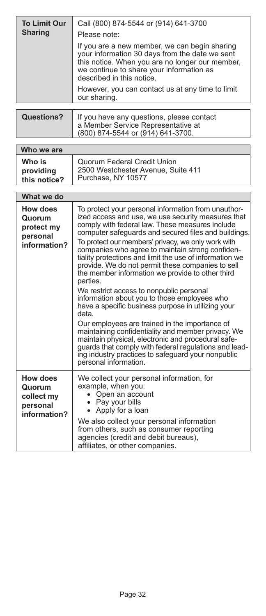| <b>To Limit Our</b><br><b>Sharing</b> | Call (800) 874-5544 or (914) 641-3700<br>Please note:                                                                                                                                                                       |
|---------------------------------------|-----------------------------------------------------------------------------------------------------------------------------------------------------------------------------------------------------------------------------|
|                                       | If you are a new member, we can begin sharing<br>your information 30 days from the date we sent<br>this notice. When you are no longer our member,<br>we continue to share your information as<br>described in this notice. |
|                                       | However, you can contact us at any time to limit<br>our sharing.                                                                                                                                                            |
|                                       |                                                                                                                                                                                                                             |
| <b>Questions?</b>                     | If you have any questions, please contact<br>a Member Service Representative at<br>(800) 874-5544 or (914) 641-3700.                                                                                                        |

| Who we are                          |                                                                                         |
|-------------------------------------|-----------------------------------------------------------------------------------------|
| Who is<br>providing<br>this notice? | Quorum Federal Credit Union<br>2500 Westchester Avenue, Suite 411<br>Purchase, NY 10577 |

| What we do                                                          |                                                                                                                                                                                                                                                                                                                                                                                                                                                                                                                                                                                                                                                                                                                                                                                                                                                                                                                                                                                |
|---------------------------------------------------------------------|--------------------------------------------------------------------------------------------------------------------------------------------------------------------------------------------------------------------------------------------------------------------------------------------------------------------------------------------------------------------------------------------------------------------------------------------------------------------------------------------------------------------------------------------------------------------------------------------------------------------------------------------------------------------------------------------------------------------------------------------------------------------------------------------------------------------------------------------------------------------------------------------------------------------------------------------------------------------------------|
| <b>How does</b><br>Quorum<br>protect my<br>personal<br>information? | To protect your personal information from unauthor-<br>ized access and use, we use security measures that<br>comply with federal law. These measures include<br>computer safequards and secured files and buildings.<br>To protect our members' privacy, we only work with<br>companies who agree to maintain strong confiden-<br>tiality protections and limit the use of information we<br>provide. We do not permit these companies to sell<br>the member information we provide to other third<br>parties.<br>We restrict access to nonpublic personal<br>information about you to those employees who<br>have a specific business purpose in utilizing your<br>data<br>Our employees are trained in the importance of<br>maintaining confidentiality and member privacy. We<br>maintain physical, electronic and procedural safe-<br>guards that comply with federal regulations and lead-<br>ing industry practices to safeguard your nonpublic<br>personal information. |
| How does<br>Quorum<br>collect my<br>personal<br>information?        | We collect your personal information, for<br>example, when you:<br>Open an account<br>• Pay your bills<br>• Apply for a loan<br>We also collect your personal information<br>from others, such as consumer reporting<br>agencies (credit and debit bureaus),<br>affiliates, or other companies.                                                                                                                                                                                                                                                                                                                                                                                                                                                                                                                                                                                                                                                                                |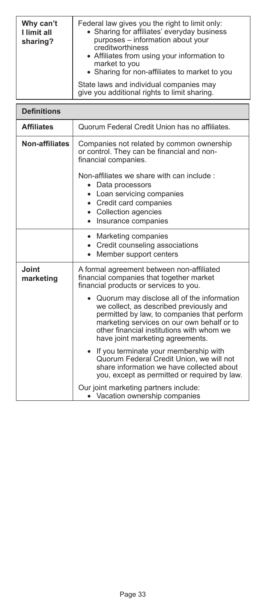| Why can't<br>I limit all<br>sharing? | Federal law gives you the right to limit only:<br>• Sharing for affiliates' everyday business<br>purposes - information about your<br>creditworthiness<br>• Affiliates from using your information to<br>market to you<br>• Sharing for non-affiliates to market to you |
|--------------------------------------|-------------------------------------------------------------------------------------------------------------------------------------------------------------------------------------------------------------------------------------------------------------------------|
|                                      | State laws and individual companies may<br>give you additional rights to limit sharing.                                                                                                                                                                                 |

| <b>Definitions</b> |                                                                                                                                                                                                                                                                     |
|--------------------|---------------------------------------------------------------------------------------------------------------------------------------------------------------------------------------------------------------------------------------------------------------------|
| <b>Affiliates</b>  | Quorum Federal Credit Union has no affiliates.                                                                                                                                                                                                                      |
| Non-affiliates     | Companies not related by common ownership<br>or control. They can be financial and non-<br>financial companies.<br>Non-affiliates we share with can include :                                                                                                       |
|                    | Data processors<br>$\bullet$<br>• Loan servicing companies<br>• Credit card companies<br>• Collection agencies<br>Insurance companies<br>$\bullet$                                                                                                                  |
|                    | Marketing companies<br>$\bullet$<br>• Credit counseling associations<br>Member support centers<br>$\bullet$                                                                                                                                                         |
| Joint<br>marketing | A formal agreement between non-affiliated<br>financial companies that together market<br>financial products or services to you.                                                                                                                                     |
|                    | Quorum may disclose all of the information<br>we collect, as described previously and<br>permitted by law, to companies that perform<br>marketing services on our own behalf or to<br>other financial institutions with whom we<br>have joint marketing agreements. |
|                    | If you terminate your membership with<br>Quorum Federal Credit Union, we will not<br>share information we have collected about<br>you, except as permitted or required by law.                                                                                      |
|                    | Our joint marketing partners include:<br>• Vacation ownership companies                                                                                                                                                                                             |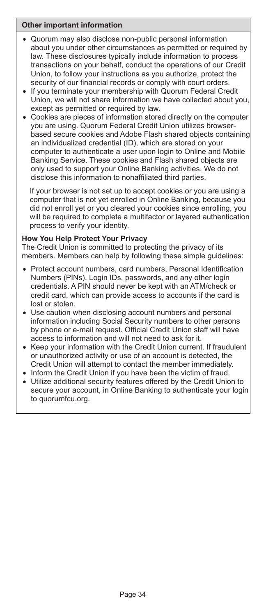## **Other important information**

- • Quorum may also disclose non-public personal information about you under other circumstances as permitted or required by law. These disclosures typically include information to process transactions on your behalf, conduct the operations of our Credit Union, to follow your instructions as you authorize, protect the security of our financial records or comply with court orders.
- If you terminate your membership with Quorum Federal Credit Union, we will not share information we have collected about you, except as permitted or required by law.
- Cookies are pieces of information stored directly on the computer you are using. Quorum Federal Credit Union utilizes browserbased secure cookies and Adobe Flash shared objects containing an individualized credential (ID), which are stored on your computer to authenticate a user upon login to Online and Mobile Banking Service. These cookies and Flash shared objects are only used to support your Online Banking activities. We do not disclose this information to nonaffiliated third parties.

If your browser is not set up to accept cookies or you are using a computer that is not yet enrolled in Online Banking, because you did not enroll yet or you cleared your cookies since enrolling, you will be required to complete a multifactor or layered authentication process to verify your identity.

#### **How You Help Protect Your Privacy**

The Credit Union is committed to protecting the privacy of its members. Members can help by following these simple guidelines:

- Protect account numbers, card numbers, Personal Identification Numbers (PINs), Login IDs, passwords, and any other login credentials. A PIN should never be kept with an ATM/check or credit card, which can provide access to accounts if the card is lost or stolen.
- Use caution when disclosing account numbers and personal information including Social Security numbers to other persons by phone or e-mail request. Official Credit Union staff will have access to information and will not need to ask for it.
- Keep your information with the Credit Union current. If fraudulent or unauthorized activity or use of an account is detected, the Credit Union will attempt to contact the member immediately.
- Inform the Credit Union if you have been the victim of fraud.
- • Utilize additional security features offered by the Credit Union to secure your account, in Online Banking to authenticate your login to quorumfcu.org.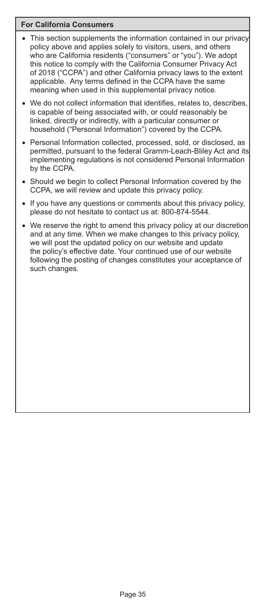## **For California Consumers**

- This section supplements the information contained in our privacy policy above and applies solely to visitors, users, and others who are California residents ("consumers" or "you"). We adopt this notice to comply with the California Consumer Privacy Act of 2018 ("CCPA") and other California privacy laws to the extent applicable. Any terms defined in the CCPA have the same meaning when used in this supplemental privacy notice.
- We do not collect information that identifies, relates to, describes, is capable of being associated with, or could reasonably be linked, directly or indirectly, with a particular consumer or household ("Personal Information") covered by the CCPA.
- Personal Information collected, processed, sold, or disclosed, as permitted, pursuant to the federal Gramm-Leach-Bliley Act and its implementing regulations is not considered Personal Information by the CCPA.
- Should we begin to collect Personal Information covered by the CCPA, we will review and update this privacy policy.
- • If you have any questions or comments about this privacy policy, please do not hesitate to contact us at: 800-874-5544.
- We reserve the right to amend this privacy policy at our discretion and at any time. When we make changes to this privacy policy, we will post the updated policy on our website and update the policy's effective date. Your continued use of our website following the posting of changes constitutes your acceptance of such changes.